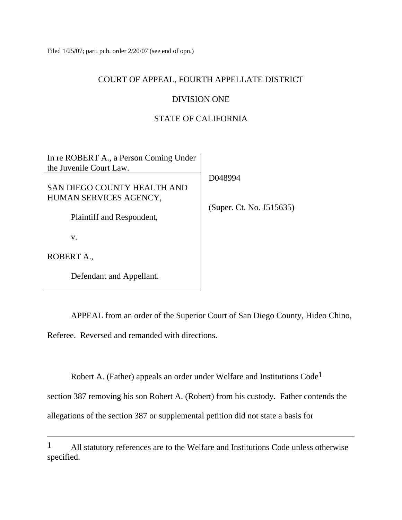Filed 1/25/07; part. pub. order 2/20/07 (see end of opn.)

### COURT OF APPEAL, FOURTH APPELLATE DISTRICT

## DIVISION ONE

# STATE OF CALIFORNIA

| In re ROBERT A., a Person Coming Under<br>the Juvenile Court Law. |                          |
|-------------------------------------------------------------------|--------------------------|
|                                                                   | D048994                  |
| <b>SAN DIEGO COUNTY HEALTH AND</b>                                |                          |
| HUMAN SERVICES AGENCY,                                            |                          |
| Plaintiff and Respondent,                                         | (Super. Ct. No. J515635) |
| V.                                                                |                          |
| ROBERT A.,                                                        |                          |
| Defendant and Appellant.                                          |                          |

 APPEAL from an order of the Superior Court of San Diego County, Hideo Chino, Referee. Reversed and remanded with directions.

Robert A. (Father) appeals an order under Welfare and Institutions Code1

section 387 removing his son Robert A. (Robert) from his custody. Father contends the

allegations of the section 387 or supplemental petition did not state a basis for

<sup>1</sup> All statutory references are to the Welfare and Institutions Code unless otherwise specified.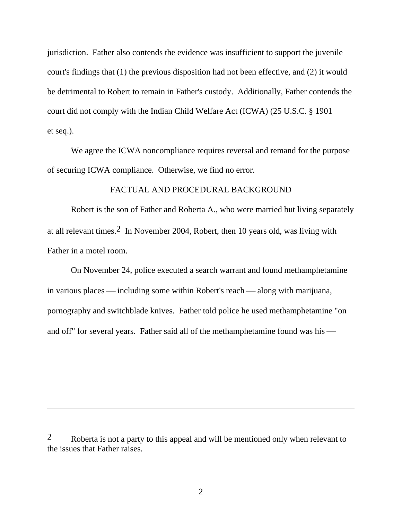jurisdiction. Father also contends the evidence was insufficient to support the juvenile court's findings that (1) the previous disposition had not been effective, and (2) it would be detrimental to Robert to remain in Father's custody. Additionally, Father contends the court did not comply with the Indian Child Welfare Act (ICWA) (25 U.S.C. § 1901 et seq.).

 We agree the ICWA noncompliance requires reversal and remand for the purpose of securing ICWA compliance. Otherwise, we find no error.

## FACTUAL AND PROCEDURAL BACKGROUND

 Robert is the son of Father and Roberta A., who were married but living separately at all relevant times.2 In November 2004, Robert, then 10 years old, was living with Father in a motel room.

 On November 24, police executed a search warrant and found methamphetamine in various places — including some within Robert's reach — along with marijuana, pornography and switchblade knives. Father told police he used methamphetamine "on and off" for several years. Father said all of the methamphetamine found was his  $-$ 

2 Roberta is not a party to this appeal and will be mentioned only when relevant to the issues that Father raises.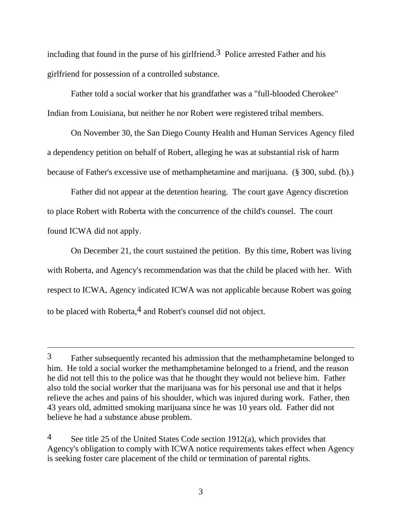including that found in the purse of his girlfriend.<sup>3</sup> Police arrested Father and his girlfriend for possession of a controlled substance.

 Father told a social worker that his grandfather was a "full-blooded Cherokee" Indian from Louisiana, but neither he nor Robert were registered tribal members.

 On November 30, the San Diego County Health and Human Services Agency filed a dependency petition on behalf of Robert, alleging he was at substantial risk of harm because of Father's excessive use of methamphetamine and marijuana. (§ 300, subd. (b).)

 Father did not appear at the detention hearing. The court gave Agency discretion to place Robert with Roberta with the concurrence of the child's counsel. The court found ICWA did not apply.

 On December 21, the court sustained the petition. By this time, Robert was living with Roberta, and Agency's recommendation was that the child be placed with her. With respect to ICWA, Agency indicated ICWA was not applicable because Robert was going to be placed with Roberta,<sup>4</sup> and Robert's counsel did not object.

<sup>3</sup> Father subsequently recanted his admission that the methamphetamine belonged to him. He told a social worker the methamphetamine belonged to a friend, and the reason he did not tell this to the police was that he thought they would not believe him. Father also told the social worker that the marijuana was for his personal use and that it helps relieve the aches and pains of his shoulder, which was injured during work. Father, then 43 years old, admitted smoking marijuana since he was 10 years old. Father did not believe he had a substance abuse problem.

<sup>&</sup>lt;sup>4</sup> See title 25 of the United States Code section 1912(a), which provides that Agency's obligation to comply with ICWA notice requirements takes effect when Agency is seeking foster care placement of the child or termination of parental rights.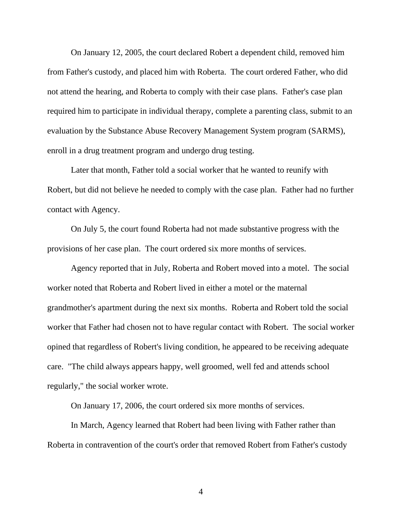On January 12, 2005, the court declared Robert a dependent child, removed him from Father's custody, and placed him with Roberta. The court ordered Father, who did not attend the hearing, and Roberta to comply with their case plans. Father's case plan required him to participate in individual therapy, complete a parenting class, submit to an evaluation by the Substance Abuse Recovery Management System program (SARMS), enroll in a drug treatment program and undergo drug testing.

 Later that month, Father told a social worker that he wanted to reunify with Robert, but did not believe he needed to comply with the case plan. Father had no further contact with Agency.

 On July 5, the court found Roberta had not made substantive progress with the provisions of her case plan. The court ordered six more months of services.

 Agency reported that in July, Roberta and Robert moved into a motel. The social worker noted that Roberta and Robert lived in either a motel or the maternal grandmother's apartment during the next six months. Roberta and Robert told the social worker that Father had chosen not to have regular contact with Robert. The social worker opined that regardless of Robert's living condition, he appeared to be receiving adequate care. "The child always appears happy, well groomed, well fed and attends school regularly," the social worker wrote.

On January 17, 2006, the court ordered six more months of services.

 In March, Agency learned that Robert had been living with Father rather than Roberta in contravention of the court's order that removed Robert from Father's custody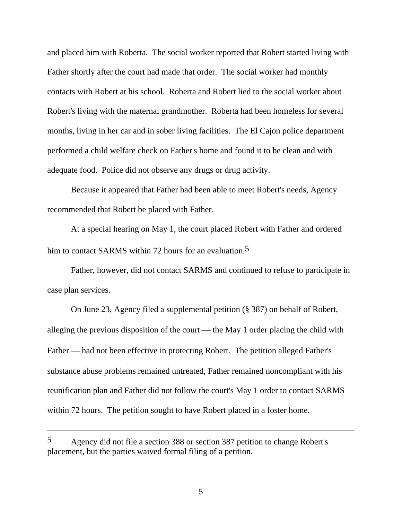and placed him with Roberta. The social worker reported that Robert started living with Father shortly after the court had made that order. The social worker had monthly contacts with Robert at his school. Roberta and Robert lied to the social worker about Robert's living with the maternal grandmother. Roberta had been homeless for several months, living in her car and in sober living facilities. The El Cajon police department performed a child welfare check on Father's home and found it to be clean and with adequate food. Police did not observe any drugs or drug activity.

 Because it appeared that Father had been able to meet Robert's needs, Agency recommended that Robert be placed with Father.

 At a special hearing on May 1, the court placed Robert with Father and ordered him to contact SARMS within 72 hours for an evaluation.<sup>5</sup>

 Father, however, did not contact SARMS and continued to refuse to participate in case plan services.

 On June 23, Agency filed a supplemental petition (§ 387) on behalf of Robert, alleging the previous disposition of the court  $-$  the May 1 order placing the child with Father — had not been effective in protecting Robert. The petition alleged Father's substance abuse problems remained untreated, Father remained noncompliant with his reunification plan and Father did not follow the court's May 1 order to contact SARMS within 72 hours. The petition sought to have Robert placed in a foster home.

<sup>5</sup> Agency did not file a section 388 or section 387 petition to change Robert's placement, but the parties waived formal filing of a petition.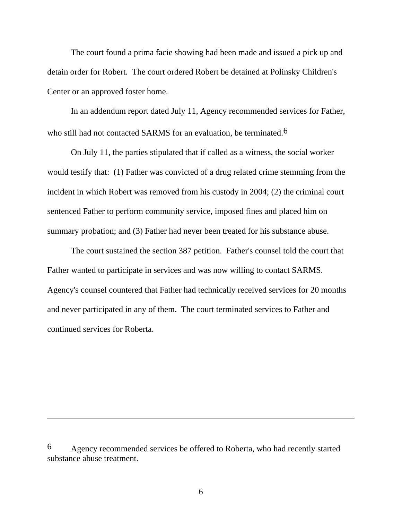The court found a prima facie showing had been made and issued a pick up and detain order for Robert. The court ordered Robert be detained at Polinsky Children's Center or an approved foster home.

 In an addendum report dated July 11, Agency recommended services for Father, who still had not contacted SARMS for an evaluation, be terminated.<sup>6</sup>

 On July 11, the parties stipulated that if called as a witness, the social worker would testify that: (1) Father was convicted of a drug related crime stemming from the incident in which Robert was removed from his custody in 2004; (2) the criminal court sentenced Father to perform community service, imposed fines and placed him on summary probation; and (3) Father had never been treated for his substance abuse.

 The court sustained the section 387 petition. Father's counsel told the court that Father wanted to participate in services and was now willing to contact SARMS. Agency's counsel countered that Father had technically received services for 20 months and never participated in any of them. The court terminated services to Father and continued services for Roberta.

<sup>6</sup> Agency recommended services be offered to Roberta, who had recently started substance abuse treatment.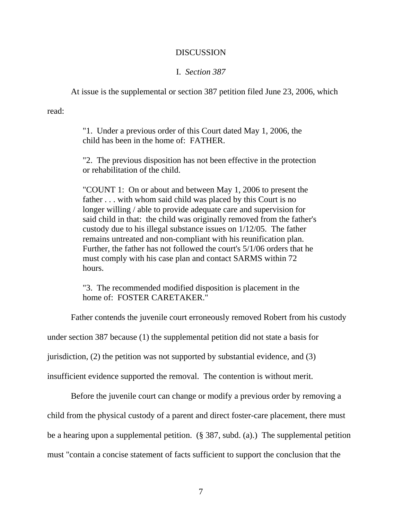### DISCUSSION

### I. *Section 387*

At issue is the supplemental or section 387 petition filed June 23, 2006, which

read:

"1. Under a previous order of this Court dated May 1, 2006, the child has been in the home of: FATHER.

"2. The previous disposition has not been effective in the protection or rehabilitation of the child.

"COUNT 1: On or about and between May 1, 2006 to present the father . . . with whom said child was placed by this Court is no longer willing / able to provide adequate care and supervision for said child in that: the child was originally removed from the father's custody due to his illegal substance issues on 1/12/05. The father remains untreated and non-compliant with his reunification plan. Further, the father has not followed the court's 5/1/06 orders that he must comply with his case plan and contact SARMS within 72 hours.

"3. The recommended modified disposition is placement in the home of: FOSTER CARETAKER."

Father contends the juvenile court erroneously removed Robert from his custody

under section 387 because (1) the supplemental petition did not state a basis for

jurisdiction, (2) the petition was not supported by substantial evidence, and (3)

insufficient evidence supported the removal. The contention is without merit.

Before the juvenile court can change or modify a previous order by removing a

child from the physical custody of a parent and direct foster-care placement, there must

be a hearing upon a supplemental petition. (§ 387, subd. (a).) The supplemental petition

must "contain a concise statement of facts sufficient to support the conclusion that the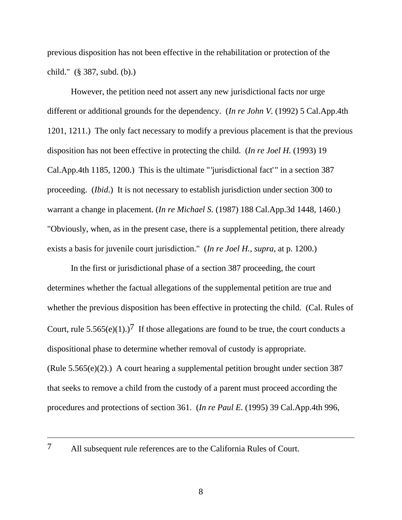previous disposition has not been effective in the rehabilitation or protection of the child." (§ 387, subd. (b).)

 However, the petition need not assert any new jurisdictional facts nor urge different or additional grounds for the dependency. (*In re John V.* (1992) 5 Cal.App.4th 1201, 1211.) The only fact necessary to modify a previous placement is that the previous disposition has not been effective in protecting the child. (*In re Joel H.* (1993) 19 Cal.App.4th 1185, 1200.) This is the ultimate " 'jurisdictional fact'" in a section 387 proceeding. (*Ibid*.) It is not necessary to establish jurisdiction under section 300 to warrant a change in placement. (*In re Michael S.* (1987) 188 Cal.App.3d 1448, 1460.) "Obviously, when, as in the present case, there is a supplemental petition, there already exists a basis for juvenile court jurisdiction." (*In re Joel H.*, *supra*, at p. 1200.)

 In the first or jurisdictional phase of a section 387 proceeding, the court determines whether the factual allegations of the supplemental petition are true and whether the previous disposition has been effective in protecting the child. (Cal. Rules of Court, rule  $5.565(e)(1)$ .)<sup>7</sup> If those allegations are found to be true, the court conducts a dispositional phase to determine whether removal of custody is appropriate. (Rule 5.565(e)(2).) A court hearing a supplemental petition brought under section 387 that seeks to remove a child from the custody of a parent must proceed according the procedures and protections of section 361. (*In re Paul E.* (1995) 39 Cal.App.4th 996,

<sup>7</sup> All subsequent rule references are to the California Rules of Court.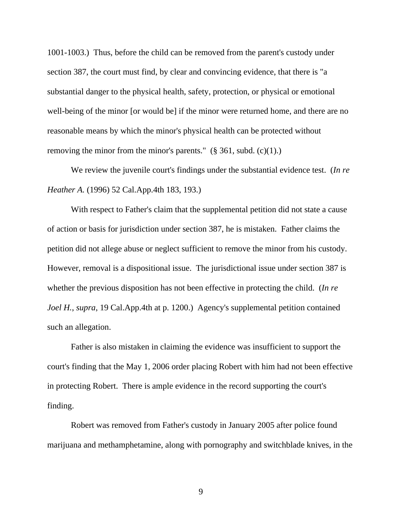1001-1003.) Thus, before the child can be removed from the parent's custody under section 387, the court must find, by clear and convincing evidence, that there is "a substantial danger to the physical health, safety, protection, or physical or emotional well-being of the minor [or would be] if the minor were returned home, and there are no reasonable means by which the minor's physical health can be protected without removing the minor from the minor's parents."  $(\S$  361, subd.  $(c)(1)$ .)

 We review the juvenile court's findings under the substantial evidence test. (*In re Heather A.* (1996) 52 Cal.App.4th 183, 193.)

 With respect to Father's claim that the supplemental petition did not state a cause of action or basis for jurisdiction under section 387, he is mistaken. Father claims the petition did not allege abuse or neglect sufficient to remove the minor from his custody. However, removal is a dispositional issue. The jurisdictional issue under section 387 is whether the previous disposition has not been effective in protecting the child. (*In re Joel H.*, *supra*, 19 Cal.App.4th at p. 1200.) Agency's supplemental petition contained such an allegation.

 Father is also mistaken in claiming the evidence was insufficient to support the court's finding that the May 1, 2006 order placing Robert with him had not been effective in protecting Robert. There is ample evidence in the record supporting the court's finding.

 Robert was removed from Father's custody in January 2005 after police found marijuana and methamphetamine, along with pornography and switchblade knives, in the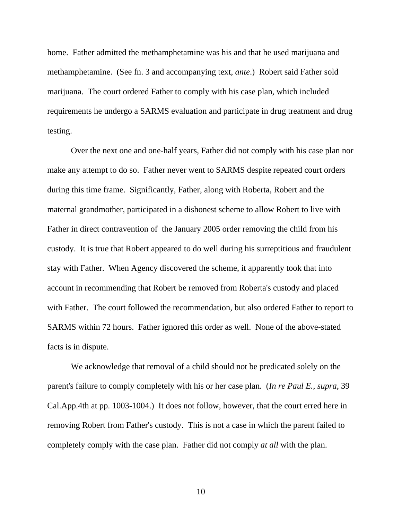home. Father admitted the methamphetamine was his and that he used marijuana and methamphetamine. (See fn. 3 and accompanying text, *ante*.) Robert said Father sold marijuana. The court ordered Father to comply with his case plan, which included requirements he undergo a SARMS evaluation and participate in drug treatment and drug testing.

 Over the next one and one-half years, Father did not comply with his case plan nor make any attempt to do so. Father never went to SARMS despite repeated court orders during this time frame. Significantly, Father, along with Roberta, Robert and the maternal grandmother, participated in a dishonest scheme to allow Robert to live with Father in direct contravention of the January 2005 order removing the child from his custody. It is true that Robert appeared to do well during his surreptitious and fraudulent stay with Father. When Agency discovered the scheme, it apparently took that into account in recommending that Robert be removed from Roberta's custody and placed with Father. The court followed the recommendation, but also ordered Father to report to SARMS within 72 hours. Father ignored this order as well. None of the above-stated facts is in dispute.

 We acknowledge that removal of a child should not be predicated solely on the parent's failure to comply completely with his or her case plan. (*In re Paul E.*, *supra*, 39 Cal.App.4th at pp. 1003-1004.) It does not follow, however, that the court erred here in removing Robert from Father's custody. This is not a case in which the parent failed to completely comply with the case plan. Father did not comply *at all* with the plan.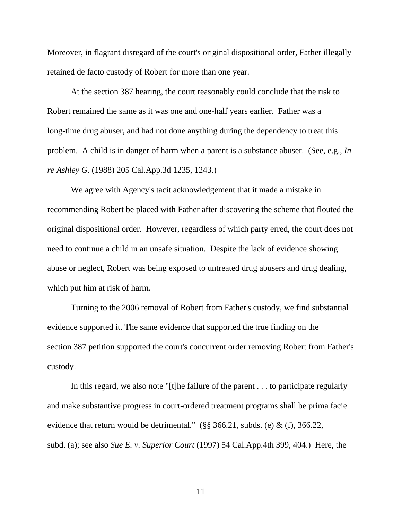Moreover, in flagrant disregard of the court's original dispositional order, Father illegally retained de facto custody of Robert for more than one year.

 At the section 387 hearing, the court reasonably could conclude that the risk to Robert remained the same as it was one and one-half years earlier. Father was a long-time drug abuser, and had not done anything during the dependency to treat this problem. A child is in danger of harm when a parent is a substance abuser. (See, e.g., *In re Ashley G.* (1988) 205 Cal.App.3d 1235, 1243.)

 We agree with Agency's tacit acknowledgement that it made a mistake in recommending Robert be placed with Father after discovering the scheme that flouted the original dispositional order. However, regardless of which party erred, the court does not need to continue a child in an unsafe situation. Despite the lack of evidence showing abuse or neglect, Robert was being exposed to untreated drug abusers and drug dealing, which put him at risk of harm.

 Turning to the 2006 removal of Robert from Father's custody, we find substantial evidence supported it. The same evidence that supported the true finding on the section 387 petition supported the court's concurrent order removing Robert from Father's custody.

 In this regard, we also note "[t]he failure of the parent . . . to participate regularly and make substantive progress in court-ordered treatment programs shall be prima facie evidence that return would be detrimental." (§§ 366.21, subds. (e) & (f), 366.22, subd. (a); see also *Sue E. v. Superior Court* (1997) 54 Cal.App.4th 399, 404.) Here, the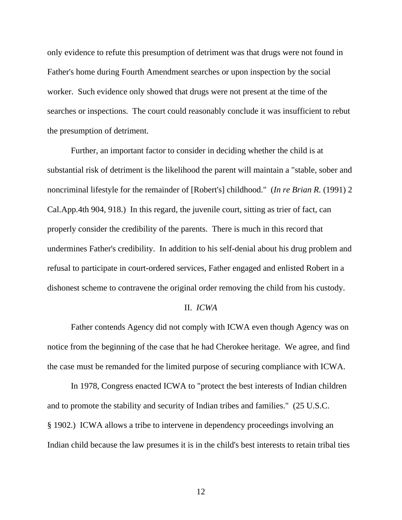only evidence to refute this presumption of detriment was that drugs were not found in Father's home during Fourth Amendment searches or upon inspection by the social worker. Such evidence only showed that drugs were not present at the time of the searches or inspections. The court could reasonably conclude it was insufficient to rebut the presumption of detriment.

 Further, an important factor to consider in deciding whether the child is at substantial risk of detriment is the likelihood the parent will maintain a "stable, sober and noncriminal lifestyle for the remainder of [Robert's] childhood." (*In re Brian R.* (1991) 2 Cal.App.4th 904, 918.) In this regard, the juvenile court, sitting as trier of fact, can properly consider the credibility of the parents. There is much in this record that undermines Father's credibility. In addition to his self-denial about his drug problem and refusal to participate in court-ordered services, Father engaged and enlisted Robert in a dishonest scheme to contravene the original order removing the child from his custody.

#### II. *ICWA*

 Father contends Agency did not comply with ICWA even though Agency was on notice from the beginning of the case that he had Cherokee heritage. We agree, and find the case must be remanded for the limited purpose of securing compliance with ICWA.

 In 1978, Congress enacted ICWA to "protect the best interests of Indian children and to promote the stability and security of Indian tribes and families." (25 U.S.C. § 1902.) ICWA allows a tribe to intervene in dependency proceedings involving an Indian child because the law presumes it is in the child's best interests to retain tribal ties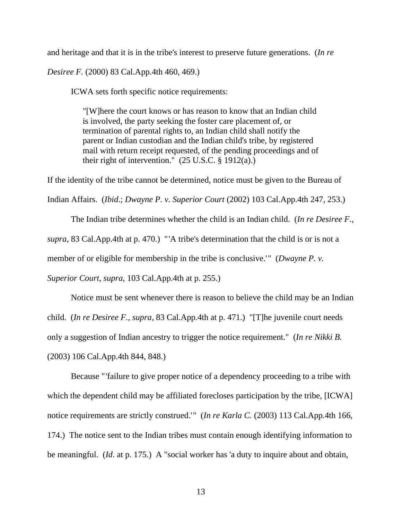and heritage and that it is in the tribe's interest to preserve future generations. (*In re* 

*Desiree F.* (2000) 83 Cal.App.4th 460, 469.)

ICWA sets forth specific notice requirements:

"[W]here the court knows or has reason to know that an Indian child is involved, the party seeking the foster care placement of, or termination of parental rights to, an Indian child shall notify the parent or Indian custodian and the Indian child's tribe, by registered mail with return receipt requested, of the pending proceedings and of their right of intervention."  $(25 \text{ U.S.C.} \hat{\S} 1912(a))$ 

If the identity of the tribe cannot be determined, notice must be given to the Bureau of Indian Affairs. (*Ibid*.; *Dwayne P. v. Superior Court* (2002) 103 Cal.App.4th 247, 253.)

 The Indian tribe determines whether the child is an Indian child. (*In re Desiree F.*, *supra*, 83 Cal.App.4th at p. 470.) "'A tribe's determination that the child is or is not a member of or eligible for membership in the tribe is conclusive.'" (*Dwayne P. v.* 

*Superior Court*, *supra*, 103 Cal.App.4th at p. 255.)

 Notice must be sent whenever there is reason to believe the child may be an Indian child. (*In re Desiree F.*, *supra*, 83 Cal.App.4th at p. 471.) "[T]he juvenile court needs only a suggestion of Indian ancestry to trigger the notice requirement." (*In re Nikki B.* (2003) 106 Cal.App.4th 844, 848.)

 Because "'failure to give proper notice of a dependency proceeding to a tribe with which the dependent child may be affiliated forecloses participation by the tribe, [ICWA] notice requirements are strictly construed.'" (*In re Karla C.* (2003) 113 Cal.App.4th 166, 174.) The notice sent to the Indian tribes must contain enough identifying information to be meaningful. (*Id*. at p. 175.) A "social worker has 'a duty to inquire about and obtain,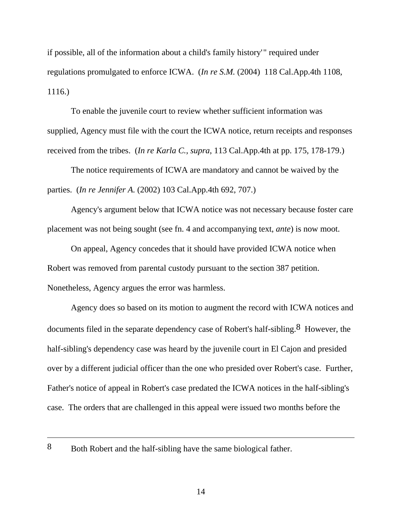if possible, all of the information about a child's family history'" required under regulations promulgated to enforce ICWA. (*In re S.M.* (2004) 118 Cal.App.4th 1108, 1116.)

 To enable the juvenile court to review whether sufficient information was supplied, Agency must file with the court the ICWA notice, return receipts and responses received from the tribes. (*In re Karla C.*, *supra*, 113 Cal.App.4th at pp. 175, 178-179.)

 The notice requirements of ICWA are mandatory and cannot be waived by the parties. (*In re Jennifer A.* (2002) 103 Cal.App.4th 692, 707.)

 Agency's argument below that ICWA notice was not necessary because foster care placement was not being sought (see fn. 4 and accompanying text, *ante*) is now moot.

 On appeal, Agency concedes that it should have provided ICWA notice when Robert was removed from parental custody pursuant to the section 387 petition. Nonetheless, Agency argues the error was harmless.

 Agency does so based on its motion to augment the record with ICWA notices and documents filed in the separate dependency case of Robert's half-sibling.<sup>8</sup> However, the half-sibling's dependency case was heard by the juvenile court in El Cajon and presided over by a different judicial officer than the one who presided over Robert's case. Further, Father's notice of appeal in Robert's case predated the ICWA notices in the half-sibling's case. The orders that are challenged in this appeal were issued two months before the

<sup>8</sup> Both Robert and the half-sibling have the same biological father.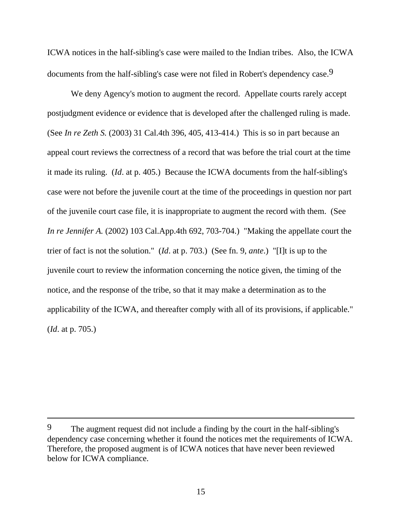ICWA notices in the half-sibling's case were mailed to the Indian tribes. Also, the ICWA documents from the half-sibling's case were not filed in Robert's dependency case.<sup>9</sup>

 We deny Agency's motion to augment the record. Appellate courts rarely accept postjudgment evidence or evidence that is developed after the challenged ruling is made. (See *In re Zeth S.* (2003) 31 Cal.4th 396, 405, 413-414.) This is so in part because an appeal court reviews the correctness of a record that was before the trial court at the time it made its ruling. (*Id*. at p. 405.) Because the ICWA documents from the half-sibling's case were not before the juvenile court at the time of the proceedings in question nor part of the juvenile court case file, it is inappropriate to augment the record with them. (See *In re Jennifer A.* (2002) 103 Cal.App.4th 692, 703-704.) "Making the appellate court the trier of fact is not the solution." (*Id*. at p. 703.) (See fn. 9, *ante*.) "[I]t is up to the juvenile court to review the information concerning the notice given, the timing of the notice, and the response of the tribe, so that it may make a determination as to the applicability of the ICWA, and thereafter comply with all of its provisions, if applicable." (*Id*. at p. 705.)

<sup>9</sup> The augment request did not include a finding by the court in the half-sibling's dependency case concerning whether it found the notices met the requirements of ICWA. Therefore, the proposed augment is of ICWA notices that have never been reviewed below for ICWA compliance.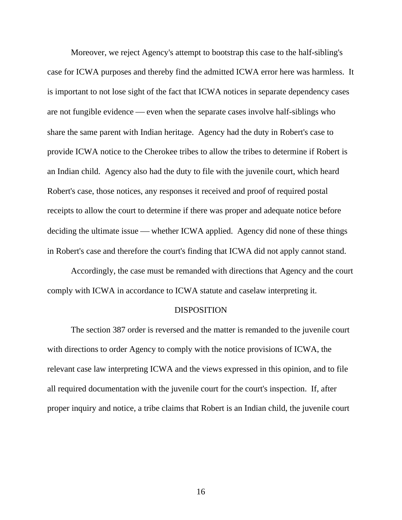Moreover, we reject Agency's attempt to bootstrap this case to the half-sibling's case for ICWA purposes and thereby find the admitted ICWA error here was harmless. It is important to not lose sight of the fact that ICWA notices in separate dependency cases are not fungible evidence — even when the separate cases involve half-siblings who share the same parent with Indian heritage. Agency had the duty in Robert's case to provide ICWA notice to the Cherokee tribes to allow the tribes to determine if Robert is an Indian child. Agency also had the duty to file with the juvenile court, which heard Robert's case, those notices, any responses it received and proof of required postal receipts to allow the court to determine if there was proper and adequate notice before deciding the ultimate issue — whether ICWA applied. Agency did none of these things in Robert's case and therefore the court's finding that ICWA did not apply cannot stand.

 Accordingly, the case must be remanded with directions that Agency and the court comply with ICWA in accordance to ICWA statute and caselaw interpreting it.

#### DISPOSITION

 The section 387 order is reversed and the matter is remanded to the juvenile court with directions to order Agency to comply with the notice provisions of ICWA, the relevant case law interpreting ICWA and the views expressed in this opinion, and to file all required documentation with the juvenile court for the court's inspection. If, after proper inquiry and notice, a tribe claims that Robert is an Indian child, the juvenile court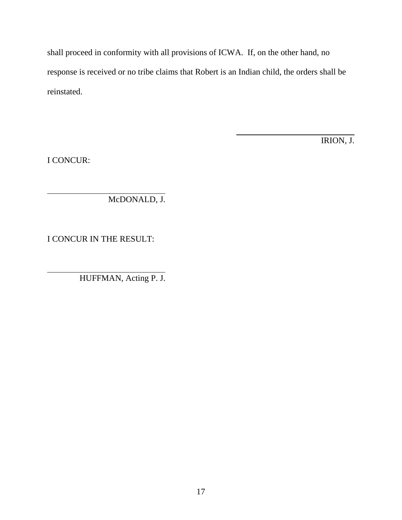shall proceed in conformity with all provisions of ICWA. If, on the other hand, no response is received or no tribe claims that Robert is an Indian child, the orders shall be reinstated.

l,

IRION, J.

I CONCUR:

McDONALD, J.

I CONCUR IN THE RESULT:

HUFFMAN, Acting P. J.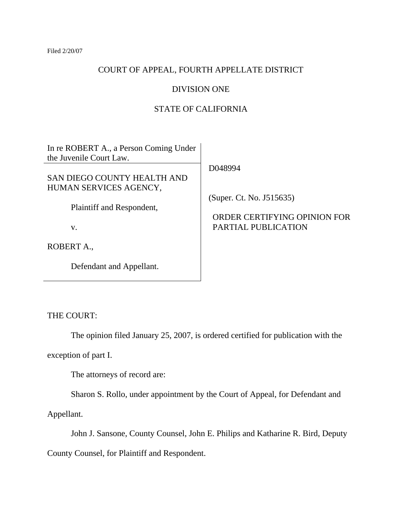## COURT OF APPEAL, FOURTH APPELLATE DISTRICT

## DIVISION ONE

## STATE OF CALIFORNIA

In re ROBERT A., a Person Coming Under the Juvenile Court Law.

SAN DIEGO COUNTY HEALTH AND HUMAN SERVICES AGENCY,

Plaintiff and Respondent,

v.

ROBERT A.,

Defendant and Appellant.

D048994

(Super. Ct. No. J515635)

## ORDER CERTIFYING OPINION FOR PARTIAL PUBLICATION

THE COURT:

The opinion filed January 25, 2007, is ordered certified for publication with the

exception of part I.

The attorneys of record are:

Sharon S. Rollo, under appointment by the Court of Appeal, for Defendant and

Appellant.

John J. Sansone, County Counsel, John E. Philips and Katharine R. Bird, Deputy

County Counsel, for Plaintiff and Respondent.